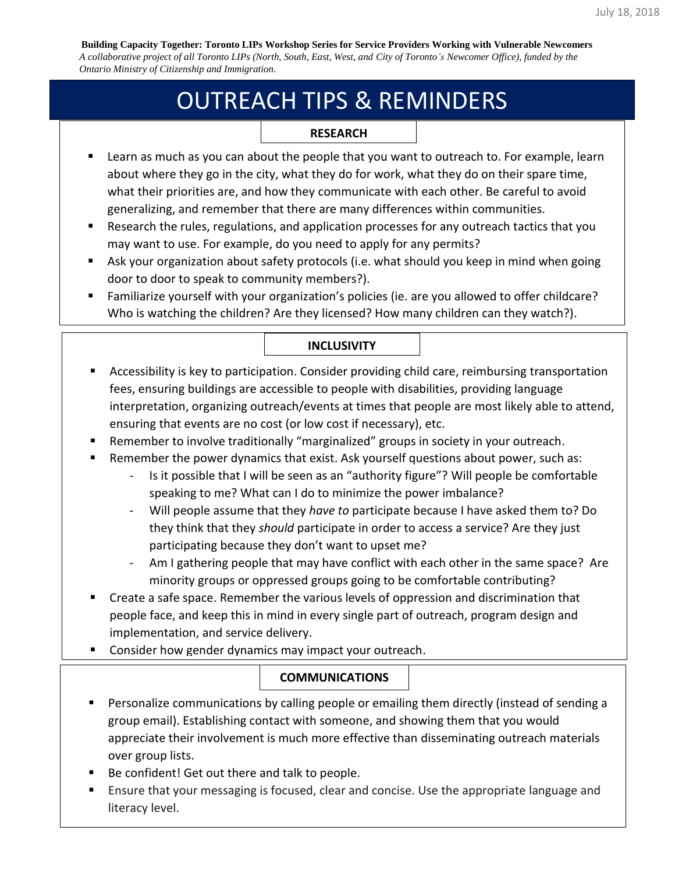**Building Capacity Together: Toronto LIPs Workshop Series for Service Providers Working with Vulnerable Newcomers** *A collaborative project of all Toronto LIPs (North, South, East, West, and City of Toronto's Newcomer Office), funded by the Ontario Ministry of Citizenship and Immigration.*

# OUTREACH TIPS & REMINDERS

#### **RESEARCH**

- Learn as much as you can about the people that you want to outreach to. For example, learn about where they go in the city, what they do for work, what they do on their spare time, what their priorities are, and how they communicate with each other. Be careful to avoid generalizing, and remember that there are many differences within communities.
- Research the rules, regulations, and application processes for any outreach tactics that you may want to use. For example, do you need to apply for any permits?
- Ask your organization about safety protocols (i.e. what should you keep in mind when going door to door to speak to community members?).
- Familiarize yourself with your organization's policies (ie. are you allowed to offer childcare? Who is watching the children? Are they licensed? How many children can they watch?).

#### **INCLUSIVITY**

- Accessibility is key to participation. Consider providing child care, reimbursing transportation fees, ensuring buildings are accessible to people with disabilities, providing language interpretation, organizing outreach/events at times that people are most likely able to attend, ensuring that events are no cost (or low cost if necessary), etc.
- Remember to involve traditionally "marginalized" groups in society in your outreach.
- Remember the power dynamics that exist. Ask yourself questions about power, such as:
	- Is it possible that I will be seen as an "authority figure"? Will people be comfortable speaking to me? What can I do to minimize the power imbalance?
	- Will people assume that they *have to* participate because I have asked them to? Do they think that they *should* participate in order to access a service? Are they just participating because they don't want to upset me?
	- Am I gathering people that may have conflict with each other in the same space? Are minority groups or oppressed groups going to be comfortable contributing?
- Create a safe space. Remember the various levels of oppression and discrimination that people face, and keep this in mind in every single part of outreach, program design and implementation, and service delivery.
- Consider how gender dynamics may impact your outreach.

## **COMMUNICATIONS**

- Personalize communications by calling people or emailing them directly (instead of sending a group email). Establishing contact with someone, and showing them that you would appreciate their involvement is much more effective than disseminating outreach materials over group lists.
- Be confident! Get out there and talk to people.
- Ensure that your messaging is focused, clear and concise. Use the appropriate language and literacy level.